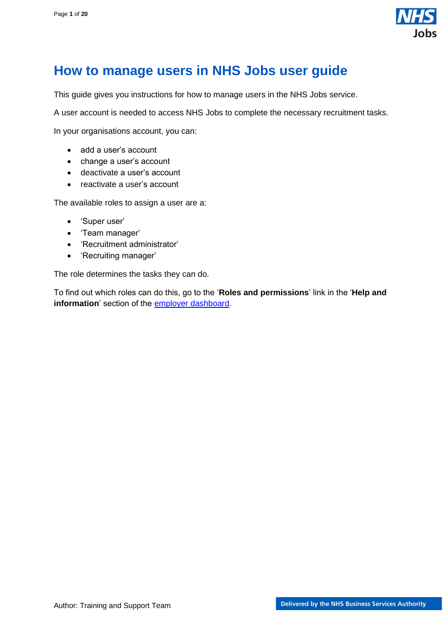

# <span id="page-0-0"></span>**How to manage users in NHS Jobs user guide**

This guide gives you instructions for how to manage users in the NHS Jobs service.

A user account is needed to access NHS Jobs to complete the necessary recruitment tasks.

In your organisations account, you can:

- add a user's account
- change a user's account
- deactivate a user's account
- reactivate a user's account

The available roles to assign a user are a:

- 'Super user'
- 'Team manager'
- 'Recruitment administrator'
- 'Recruiting manager'

The role determines the tasks they can do.

To find out which roles can do this, go to the '**Roles and permissions**' link in the '**Help and information**' section of the [employer dashboard.](https://beta.jobs.nhs.uk/home)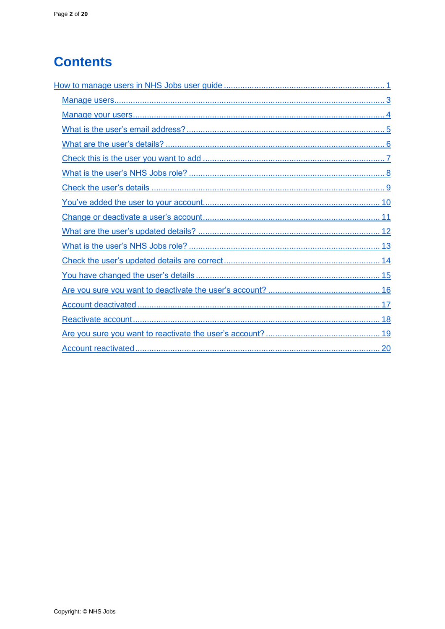# **Contents**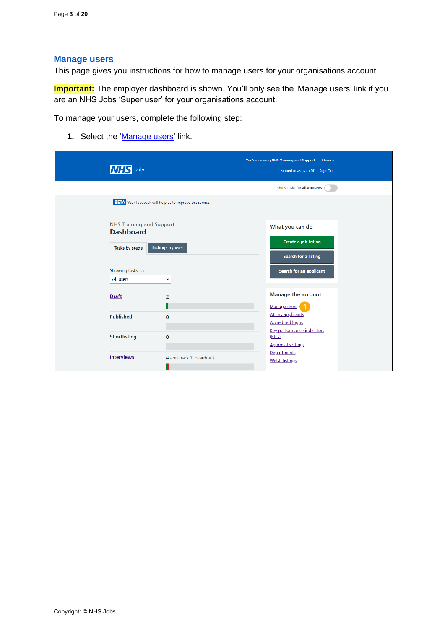#### <span id="page-2-0"></span>**Manage users**

This page gives you instructions for how to manage users for your organisations account.

**Important:** The employer dashboard is shown. You'll only see the 'Manage users' link if you are an NHS Jobs 'Super user' for your organisations account.

To manage your users, complete the following step:

**1.** Select the ['Manage users'](#page-3-0) link.

| Jobs<br><b>INHS</b>                                 |                                                                 | You're viewing NHS Training and Support<br>Change<br>Signed in as Liam M1 Sign Out |  |
|-----------------------------------------------------|-----------------------------------------------------------------|------------------------------------------------------------------------------------|--|
|                                                     |                                                                 | Show tasks for all accounts                                                        |  |
|                                                     | <b>BETA</b> Your feedback will help us to improve this service. |                                                                                    |  |
| <b>NHS Training and Support</b><br><b>Dashboard</b> |                                                                 | What you can do<br><b>Create a job listing</b>                                     |  |
| Tasks by stage                                      | <b>Listings by user</b>                                         | Search for a listing                                                               |  |
| Showing tasks for<br>All users                      | $\check{ }$                                                     | Search for an applicant                                                            |  |
| <b>Draft</b>                                        | $\overline{2}$                                                  | <b>Manage the account</b><br>Manage users                                          |  |
| <b>Published</b>                                    | $\mathbf 0$                                                     | At risk applicants<br><b>Accredited logos</b><br>Key performance indicators        |  |
| <b>Shortlisting</b>                                 | $\mathbf 0$                                                     | (KPIs)<br><b>Approval settings</b>                                                 |  |
| <b>Interviews</b>                                   | 4 - on track 2, overdue 2                                       | Departments<br><b>Welsh listings</b>                                               |  |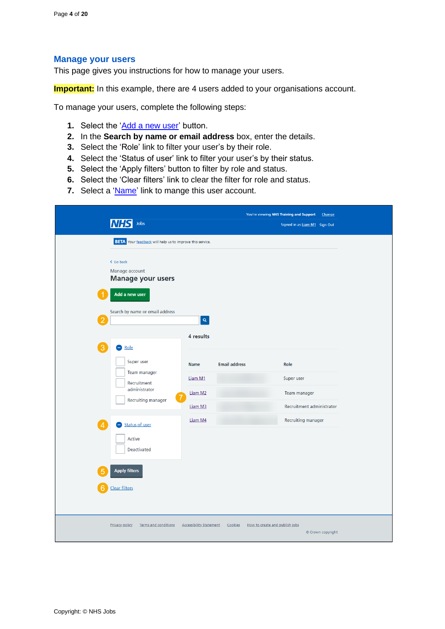#### <span id="page-3-0"></span>**Manage your users**

This page gives you instructions for how to manage your users.

**Important:** In this example, there are 4 users added to your organisations account.

To manage your users, complete the following steps:

- **1.** Select the ['Add a new user'](#page-4-0) button.
- **2.** In the **Search by name or email address** box, enter the details.
- **3.** Select the 'Role' link to filter your user's by their role.
- **4.** Select the 'Status of user' link to filter your user's by their status.
- **5.** Select the 'Apply filters' button to filter by role and status.
- **6.** Select the 'Clear filters' link to clear the filter for role and status.
- **7.** Select a ['Name'](#page-10-0) link to mange this user account.

|                                                                 | You're viewing NHS Training and Support<br>Change |                                           |                               |
|-----------------------------------------------------------------|---------------------------------------------------|-------------------------------------------|-------------------------------|
| Jobs<br><b>NHS</b>                                              |                                                   |                                           | Signed in as Liam M1 Sign Out |
| <b>BETA</b> Your feedback will help us to improve this service. |                                                   |                                           |                               |
| < Go back                                                       |                                                   |                                           |                               |
| Manage account<br><b>Manage your users</b>                      |                                                   |                                           |                               |
| Add a new user                                                  |                                                   |                                           |                               |
| Search by name or email address                                 |                                                   |                                           |                               |
|                                                                 | $\mathbf{Q}_\mathrm{c}$                           |                                           |                               |
|                                                                 | 4 results                                         |                                           |                               |
| $\rightarrow$ Role                                              |                                                   |                                           |                               |
| Super user<br>Team manager                                      | Name                                              | <b>Email address</b>                      | Role                          |
| Recruitment                                                     | Liam M1                                           |                                           | Super user                    |
| administrator<br>Recruiting manager                             | Liam M2                                           |                                           | Team manager                  |
|                                                                 | Liam M3                                           |                                           | Recruitment administrator     |
| Status of user<br>4                                             | Liam M4                                           |                                           | Recruiting manager            |
| Active<br>Deactivated                                           |                                                   |                                           |                               |
|                                                                 |                                                   |                                           |                               |
| <b>Apply filters</b>                                            |                                                   |                                           |                               |
| Clear filters                                                   |                                                   |                                           |                               |
|                                                                 |                                                   |                                           |                               |
|                                                                 |                                                   |                                           |                               |
| <b>Privacy policy</b><br>Terms and conditions                   | <b>Accessibility Statement</b>                    | Cookies<br>How to create and publish jobs | © Crown copyright             |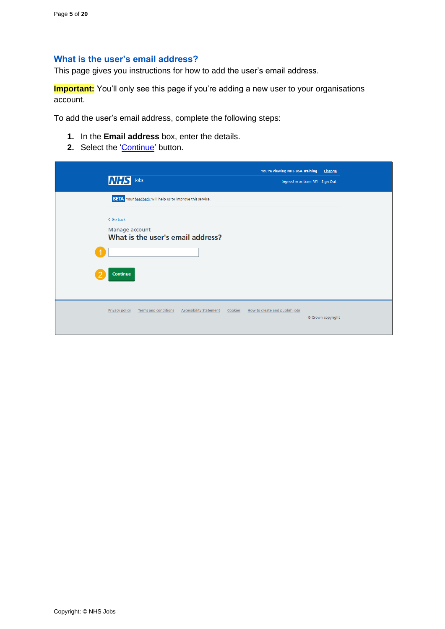# <span id="page-4-0"></span>**What is the user's email address?**

This page gives you instructions for how to add the user's email address.

**Important:** You'll only see this page if you're adding a new user to your organisations account.

To add the user's email address, complete the following steps:

- **1.** In the **Email address** box, enter the details.
- 2. Select the ['Continue'](#page-5-0) button.

| <b>NHS</b><br>Jobs                                                                     |                                           | You're viewing NHS BSA Training<br>Signed in as Liam M1 Sign Out | Change            |
|----------------------------------------------------------------------------------------|-------------------------------------------|------------------------------------------------------------------|-------------------|
| <b>BETA</b> Your feedback will help us to improve this service.                        |                                           |                                                                  |                   |
| < Go back<br>Manage account<br>What is the user's email address?<br>Continue           |                                           |                                                                  |                   |
| <b>Privacy policy</b><br><b>Terms and conditions</b><br><b>Accessibility Statement</b> | How to create and publish jobs<br>Cookies |                                                                  | © Crown copyright |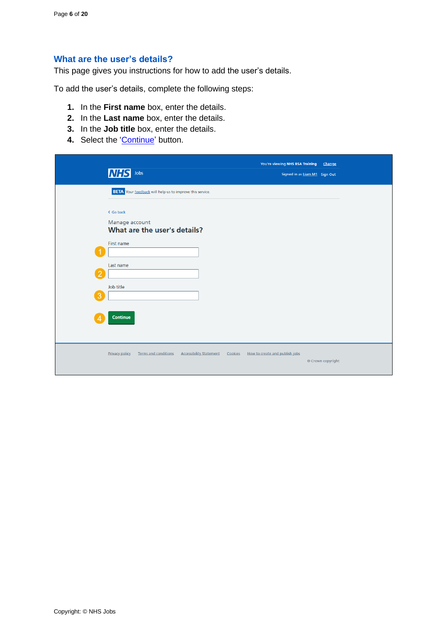## <span id="page-5-0"></span>**What are the user's details?**

This page gives you instructions for how to add the user's details.

To add the user's details, complete the following steps:

- **1.** In the **First name** box, enter the details.
- **2.** In the **Last name** box, enter the details.
- **3.** In the **Job title** box, enter the details.
- 4. Select the ['Continue'](#page-6-0) button.

|   | <b>NHS</b><br>Jobs                                                       | You're viewing NHS BSA Training           | Change<br>Signed in as Liam M1 Sign Out |  |
|---|--------------------------------------------------------------------------|-------------------------------------------|-----------------------------------------|--|
|   | <b>BETA</b> Your feedback will help us to improve this service.          |                                           |                                         |  |
|   | < Go back<br>Manage account<br>What are the user's details?              |                                           |                                         |  |
|   | First name                                                               |                                           |                                         |  |
| ႒ | Last name<br>Job title                                                   |                                           |                                         |  |
| 3 |                                                                          |                                           |                                         |  |
|   | <b>Continue</b>                                                          |                                           |                                         |  |
|   | Privacy policy<br>Terms and conditions<br><b>Accessibility Statement</b> | How to create and publish jobs<br>Cookies | © Crown copyright                       |  |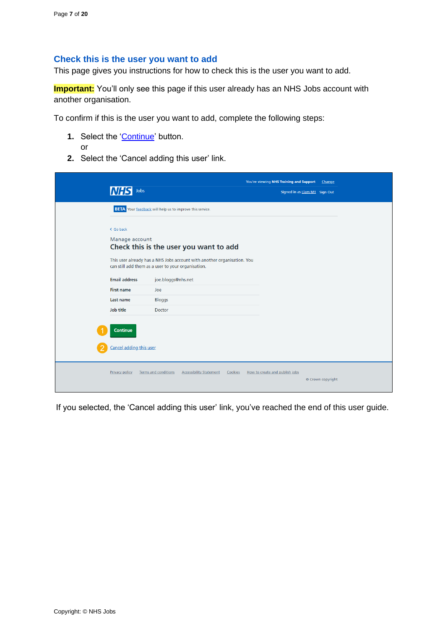### <span id="page-6-0"></span>**Check this is the user you want to add**

This page gives you instructions for how to check this is the user you want to add.

**Important:** You'll only see this page if this user already has an NHS Jobs account with another organisation.

To confirm if this is the user you want to add, complete the following steps:

- **1.** Select the ['Continue'](#page-7-0) button. or
- **2.** Select the 'Cancel adding this user' link.

| Jobs<br><i>INFS</i>                        |                                                                                                                                                                         | You're viewing NHS Training and Support<br>Signed in as Liam M1 Sign Out | Change            |
|--------------------------------------------|-------------------------------------------------------------------------------------------------------------------------------------------------------------------------|--------------------------------------------------------------------------|-------------------|
|                                            | <b>BETA</b> Your feedback will help us to improve this service.                                                                                                         |                                                                          |                   |
| < Go back<br>Manage account                | Check this is the user you want to add<br>This user already has a NHS Jobs account with another organisation. You<br>can still add them as a user to your organisation. |                                                                          |                   |
| <b>Email address</b><br><b>First name</b>  | joe.bloggs@nhs.net                                                                                                                                                      |                                                                          |                   |
| Last name                                  | Joe<br><b>Bloggs</b>                                                                                                                                                    |                                                                          |                   |
| <b>Job title</b>                           | <b>Doctor</b>                                                                                                                                                           |                                                                          |                   |
| <b>Continue</b><br>Cancel adding this user |                                                                                                                                                                         |                                                                          |                   |
| <b>Privacy policy</b>                      | <b>Accessibility Statement</b><br><b>Terms and conditions</b><br>Cookies                                                                                                | How to create and publish jobs                                           | © Crown copyright |

If you selected, the 'Cancel adding this user' link, you've reached the end of this user guide.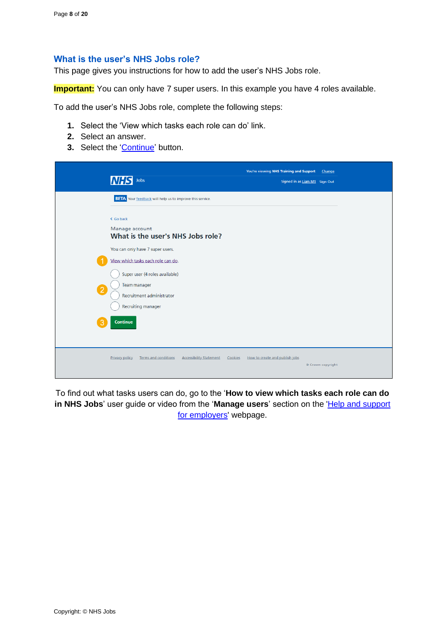#### <span id="page-7-0"></span>**What is the user's NHS Jobs role?**

This page gives you instructions for how to add the user's NHS Jobs role.

**Important:** You can only have 7 super users. In this example you have 4 roles available.

To add the user's NHS Jobs role, complete the following steps:

- **1.** Select the 'View which tasks each role can do' link.
- **2.** Select an answer.
- **3.** Select the ['Continue'](#page-8-0) button.

| Jobs<br><b>INHS</b>                                                                                              | You're viewing NHS Training and Support<br>Signed in as Liam M1 Sign Out | Change |
|------------------------------------------------------------------------------------------------------------------|--------------------------------------------------------------------------|--------|
| <b>BETA</b> Your feedback will help us to improve this service.                                                  |                                                                          |        |
| < Go back<br>Manage account<br>What is the user's NHS Jobs role?                                                 |                                                                          |        |
| You can only have 7 super users.<br>View which tasks each role can do.                                           |                                                                          |        |
| Super user (4 roles available)<br>Team manager<br>$\boxed{2}$<br>Recruitment administrator<br>Recruiting manager |                                                                          |        |
| Continue<br>3                                                                                                    |                                                                          |        |
| <b>Privacy policy</b><br><b>Terms and conditions</b><br><b>Accessibility Statement</b><br>Cookies                | How to create and publish jobs<br>© Crown copyright                      |        |

To find out what tasks users can do, go to the '**How to view which tasks each role can do** in NHS Jobs' user guide or video from the 'Manage users' section on the 'Help and support [for employers'](https://www.nhsbsa.nhs.uk/new-nhs-jobs-service/help-and-support-employers) webpage.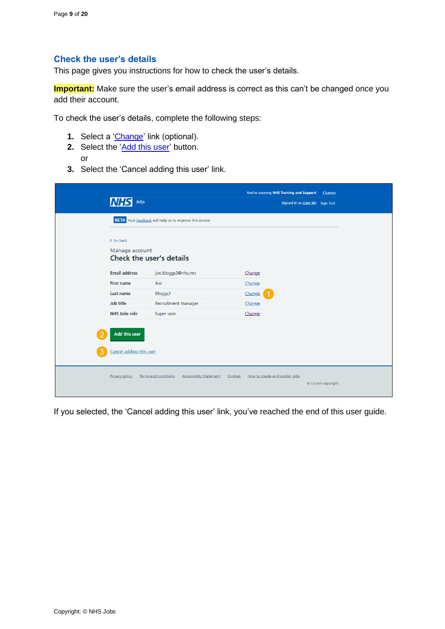# <span id="page-8-0"></span>**Check the user's details**

This page gives you instructions for how to check the user's details.

**Important:** Make sure the user's email address is correct as this can't be changed once you add their account.

To check the user's details, complete the following steps:

- **1.** Select a ['Change'](#page-4-0) link (optional).
- **2.** Select the ['Add this user'](#page-9-0) button. or
- **3.** Select the 'Cancel adding this user' link.

| Jobs                                                           |                                                                          | You're viewing NHS Training and Support | Change<br>Signed in as Liam M1 Sign Out |
|----------------------------------------------------------------|--------------------------------------------------------------------------|-----------------------------------------|-----------------------------------------|
|                                                                | <b>BETA</b> Your feedback will help us to improve this service.          |                                         |                                         |
| < Go back<br>Manage account<br><b>Check the user's details</b> |                                                                          |                                         |                                         |
| <b>Email address</b>                                           | joe.bloggs3@nhs.net                                                      | Change                                  |                                         |
| <b>First name</b>                                              | Joe                                                                      | Change                                  |                                         |
| Last name                                                      | Bloggs3                                                                  | Change                                  |                                         |
| Job title                                                      | Recruitment manager                                                      | Change                                  |                                         |
| NHS Jobs role                                                  | Super user                                                               | Change                                  |                                         |
| <b>Add this user</b><br>Cancel adding this user                |                                                                          |                                         |                                         |
| <b>Privacy policy</b>                                          | <b>Terms and conditions</b><br><b>Accessibility Statement</b><br>Cookies | How to create and publish jobs          | © Crown copyright                       |

If you selected, the 'Cancel adding this user' link, you've reached the end of this user guide.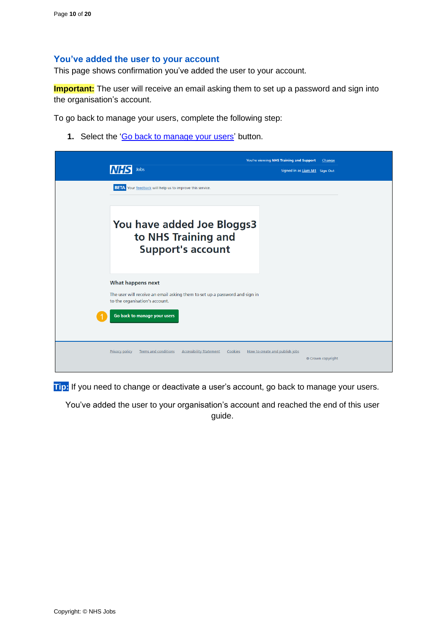#### <span id="page-9-0"></span>**You've added the user to your account**

This page shows confirmation you've added the user to your account.

**Important:** The user will receive an email asking them to set up a password and sign into the organisation's account.

To go back to manage your users, complete the following step:

**1.** Select the ['Go back to manage your users'](#page-3-0) button.

|                                                                                                               | You're viewing NHS Training and Support<br>Change   |
|---------------------------------------------------------------------------------------------------------------|-----------------------------------------------------|
| <b>MHS</b><br>Jobs                                                                                            | Signed in as Liam M1 Sign Out                       |
| <b>BETA</b> Your feedback will help us to improve this service.                                               |                                                     |
|                                                                                                               |                                                     |
| You have added Joe Bloggs3<br>to NHS Training and<br><b>Support's account</b>                                 |                                                     |
| What happens next                                                                                             |                                                     |
| The user will receive an email asking them to set up a password and sign in<br>to the organisation's account. |                                                     |
| Go back to manage your users                                                                                  |                                                     |
| <b>Terms and conditions</b><br><b>Accessibility Statement</b><br><b>Privacy policy</b><br>Cookies             | How to create and publish jobs<br>© Crown copyright |

**Tip:** If you need to change or deactivate a user's account, go back to manage your users.

You've added the user to your organisation's account and reached the end of this user guide.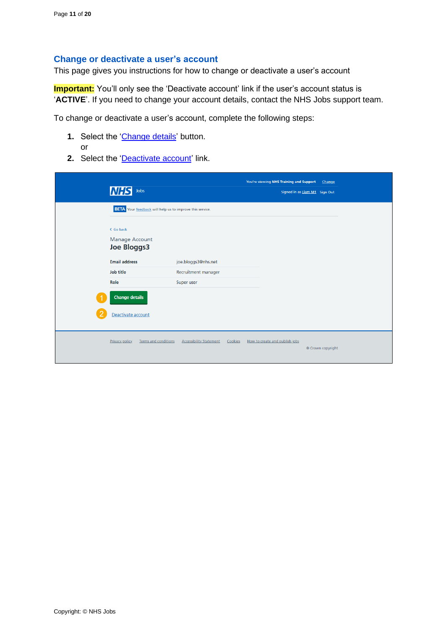#### <span id="page-10-0"></span>**Change or deactivate a user's account**

This page gives you instructions for how to change or deactivate a user's account

**Important:** You'll only see the 'Deactivate account' link if the user's account status is '**ACTIVE**'. If you need to change your account details, contact the NHS Jobs support team.

To change or deactivate a user's account, complete the following steps:

- 1. Select the ['Change details'](#page-11-0) button. or
- 2. Select the ['Deactivate account'](#page-15-0) link.

| <b>NHS</b><br>Jobs                                              |                                           | You're viewing NHS Training and Support | Change<br>Signed in as Liam M1 Sign Out |
|-----------------------------------------------------------------|-------------------------------------------|-----------------------------------------|-----------------------------------------|
| <b>BETA</b> Your feedback will help us to improve this service. |                                           |                                         |                                         |
| < Go back<br><b>Manage Account</b><br><b>Joe Bloggs3</b>        |                                           |                                         |                                         |
| <b>Email address</b>                                            | joe.bloggs3@nhs.net                       |                                         |                                         |
| Job title                                                       | Recruitment manager                       |                                         |                                         |
| Role                                                            | Super user                                |                                         |                                         |
| <b>Change details</b>                                           |                                           |                                         |                                         |
| Deactivate account                                              |                                           |                                         |                                         |
| <b>Privacy policy</b><br><b>Terms and conditions</b>            | <b>Accessibility Statement</b><br>Cookies | How to create and publish jobs          | © Crown copyright                       |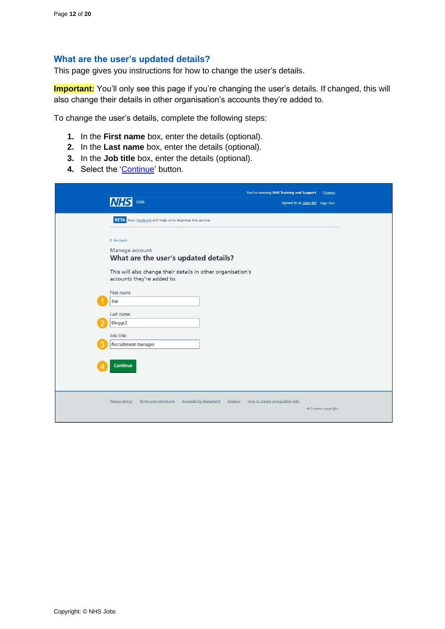#### <span id="page-11-0"></span>**What are the user's updated details?**

This page gives you instructions for how to change the user's details.

**Important:** You'll only see this page if you're changing the user's details. If changed, this will also change their details in other organisation's accounts they're added to.

To change the user's details, complete the following steps:

- **1.** In the **First name** box, enter the details (optional).
- **2.** In the **Last name** box, enter the details (optional).
- **3.** In the **Job title** box, enter the details (optional).
- 4. Select the ['Continue'](#page-12-0) button.

| Jobs<br><b>NHS</b>                                                                                                                 | You're viewing NHS Training and Support<br>Signed in as Liam M1 Sign Out | Change            |
|------------------------------------------------------------------------------------------------------------------------------------|--------------------------------------------------------------------------|-------------------|
| <b>BETA</b> Your feedback will help us to improve this service.                                                                    |                                                                          |                   |
| < Go back<br>Manage account<br>What are the user's updated details?<br>This will also change their details in other organisation's |                                                                          |                   |
| accounts they're added to.<br>First name                                                                                           |                                                                          |                   |
| Joe<br>Last name<br><b>Bloggs3</b>                                                                                                 |                                                                          |                   |
| Job title<br>Recruitment manager                                                                                                   |                                                                          |                   |
| <b>Continue</b>                                                                                                                    |                                                                          |                   |
| <b>Privacy policy</b><br>Terms and conditions<br><b>Accessibility Statement</b><br>Cookies                                         | How to create and publish jobs                                           | © Crown copyright |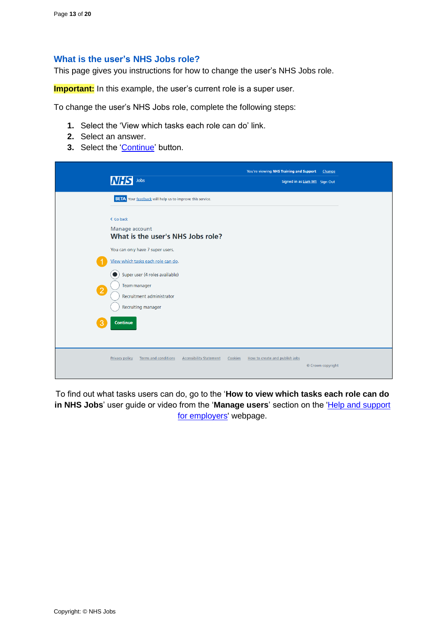#### <span id="page-12-0"></span>**What is the user's NHS Jobs role?**

This page gives you instructions for how to change the user's NHS Jobs role.

**Important:** In this example, the user's current role is a super user.

To change the user's NHS Jobs role, complete the following steps:

- **1.** Select the 'View which tasks each role can do' link.
- **2.** Select an answer.
- **3.** Select the ['Continue'](#page-13-0) button.

| Jobs<br><b>NHS</b>                                                                                                                         | You're viewing NHS Training and Support<br>Signed in as Liam M1 Sign Out | Change            |
|--------------------------------------------------------------------------------------------------------------------------------------------|--------------------------------------------------------------------------|-------------------|
| <b>BETA</b> Your feedback will help us to improve this service.                                                                            |                                                                          |                   |
| < Go back<br>Manage account<br>What is the user's NHS Jobs role?<br>You can only have 7 super users.<br>View which tasks each role can do. |                                                                          |                   |
| Super user (4 roles available)<br>Team manager<br>$\boxed{2}$<br>Recruitment administrator<br><b>Recruiting manager</b>                    |                                                                          |                   |
| Continue<br>3                                                                                                                              |                                                                          |                   |
| <b>Accessibility Statement</b><br><b>Privacy policy</b><br><b>Terms and conditions</b><br>Cookies                                          | How to create and publish jobs                                           | © Crown copyright |

To find out what tasks users can do, go to the '**How to view which tasks each role can do** in NHS Jobs' user guide or video from the 'Manage users' section on the 'Help and support [for employers'](https://www.nhsbsa.nhs.uk/new-nhs-jobs-service/help-and-support-employers) webpage.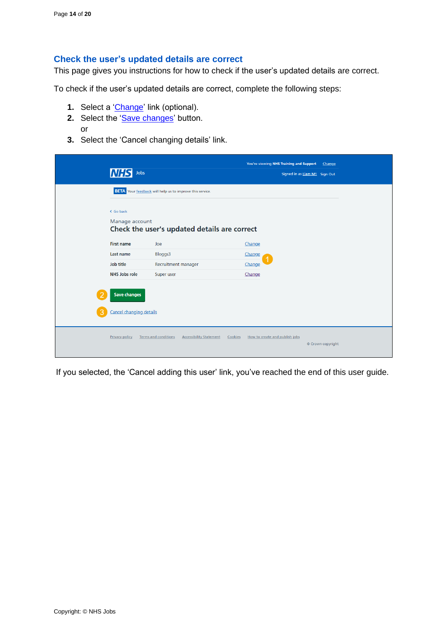### <span id="page-13-0"></span>**Check the user's updated details are correct**

This page gives you instructions for how to check if the user's updated details are correct.

To check if the user's updated details are correct, complete the following steps:

- **1.** Select a ['Change'](#page-11-0) link (optional).
- 2. Select the 'Save [changes'](#page-14-0) button. or
- **3.** Select the 'Cancel changing details' link.

|                                                       |                                                                          | You're viewing NHS Training and Support | Change                        |
|-------------------------------------------------------|--------------------------------------------------------------------------|-----------------------------------------|-------------------------------|
| <b>NHS</b><br>Jobs                                    |                                                                          |                                         | Signed in as Liam M1 Sign Out |
|                                                       | <b>BETA</b> Your feedback will help us to improve this service.          |                                         |                               |
| < Go back<br>Manage account                           |                                                                          |                                         |                               |
|                                                       | Check the user's updated details are correct                             |                                         |                               |
| <b>First name</b>                                     | Joe                                                                      | Change                                  |                               |
| Last name                                             | Bloggs3                                                                  | Change                                  |                               |
| Job title                                             | Recruitment manager                                                      | Change                                  |                               |
| NHS Jobs role                                         | Super user                                                               | Change                                  |                               |
| <b>Save changes</b><br><b>Cancel changing details</b> |                                                                          |                                         |                               |
| <b>Privacy policy</b>                                 | <b>Terms and conditions</b><br><b>Accessibility Statement</b><br>Cookies | How to create and publish jobs          | © Crown copyright             |

If you selected, the 'Cancel adding this user' link, you've reached the end of this user guide.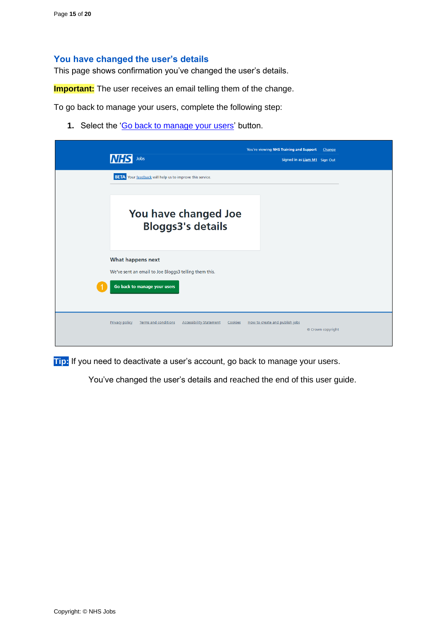#### <span id="page-14-0"></span>**You have changed the user's details**

This page shows confirmation you've changed the user's details.

**Important:** The user receives an email telling them of the change.

To go back to manage your users, complete the following step:

1. Select the ['Go back to manage your users'](#page-3-0) button.

| Jobs<br><i>INHS</i>                                                                               | You're viewing NHS Training and Support<br>Change<br>Signed in as Liam M1 Sign Out |
|---------------------------------------------------------------------------------------------------|------------------------------------------------------------------------------------|
| <b>BETA</b> Your feedback will help us to improve this service.                                   |                                                                                    |
| You have changed Joe<br><b>Bloggs3's details</b>                                                  |                                                                                    |
| What happens next                                                                                 |                                                                                    |
| We've sent an email to Joe Bloggs3 telling them this.<br>Go back to manage your users             |                                                                                    |
| <b>Terms and conditions</b><br><b>Accessibility Statement</b><br><b>Privacy policy</b><br>Cookies | How to create and publish jobs<br>© Crown copyright                                |

**Tip:** If you need to deactivate a user's account, go back to manage your users.

You've changed the user's details and reached the end of this user guide.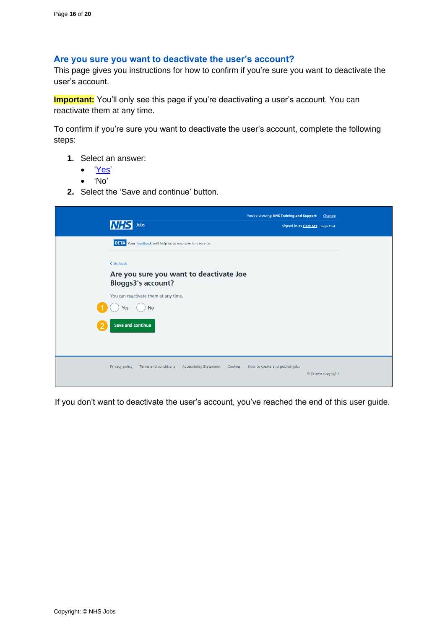#### <span id="page-15-0"></span>**Are you sure you want to deactivate the user's account?**

This page gives you instructions for how to confirm if you're sure you want to deactivate the user's account.

**Important:** You'll only see this page if you're deactivating a user's account. You can reactivate them at any time.

To confirm if you're sure you want to deactivate the user's account, complete the following steps:

- **1.** Select an answer:
	- ['Yes'](#page-16-0)
	- 'No'
- **2.** Select the 'Save and continue' button.

| Jobs<br>INH                                                                                       | You're viewing NHS Training and Support<br>Signed in as Liam M1 Sign Out | Change            |  |  |
|---------------------------------------------------------------------------------------------------|--------------------------------------------------------------------------|-------------------|--|--|
| <b>BETA</b> Your feedback will help us to improve this service.                                   |                                                                          |                   |  |  |
| < Go back                                                                                         |                                                                          |                   |  |  |
| <b>Bloggs3's account?</b>                                                                         | Are you sure you want to deactivate Joe                                  |                   |  |  |
| You can reactivate them at any time.                                                              |                                                                          |                   |  |  |
| <b>No</b><br>Yes                                                                                  |                                                                          |                   |  |  |
| <b>Save and continue</b>                                                                          |                                                                          |                   |  |  |
|                                                                                                   |                                                                          |                   |  |  |
| <b>Privacy policy</b><br><b>Terms and conditions</b><br><b>Accessibility Statement</b><br>Cookies | How to create and publish jobs                                           | © Crown copyright |  |  |

If you don't want to deactivate the user's account, you've reached the end of this user guide.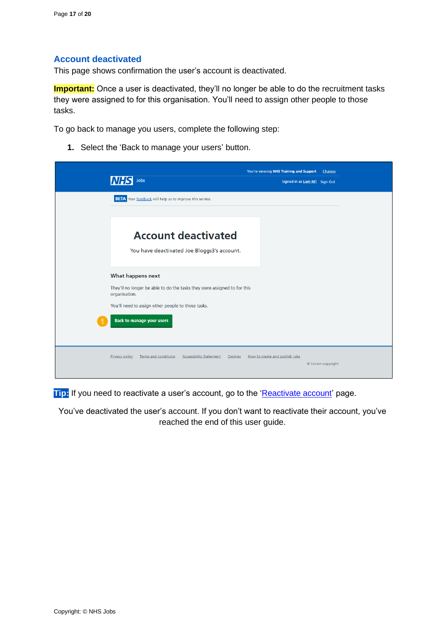## <span id="page-16-0"></span>**Account deactivated**

This page shows confirmation the user's account is deactivated.

**Important:** Once a user is deactivated, they'll no longer be able to do the recruitment tasks they were assigned to for this organisation. You'll need to assign other people to those tasks.

To go back to manage you users, complete the following step:

**1.** Select the 'Back to manage your users' button.

| Jobs<br><b>NHS</b>                                                                         | You're viewing NHS Training and Support<br>Change<br>Signed in as Liam M1 Sign Out |
|--------------------------------------------------------------------------------------------|------------------------------------------------------------------------------------|
| <b>BETA</b> Your feedback will help us to improve this service.                            |                                                                                    |
| <b>Account deactivated</b><br>You have deactivated Joe Bloggs3's account.                  |                                                                                    |
| <b>What happens next</b>                                                                   |                                                                                    |
| They'll no longer be able to do the tasks they were assigned to for this<br>organisation.  |                                                                                    |
| You'll need to assign other people to those tasks.                                         |                                                                                    |
| <b>Back to manage your users</b>                                                           |                                                                                    |
| Terms and conditions<br><b>Accessibility Statement</b><br><b>Privacy policy</b><br>Cookies | How to create and publish jobs<br>© Crown copyright                                |

**Tip:** If you need to reactivate a user's account, go to the ['Reactivate](#page-17-0) account' page.

You've deactivated the user's account. If you don't want to reactivate their account, you've reached the end of this user guide.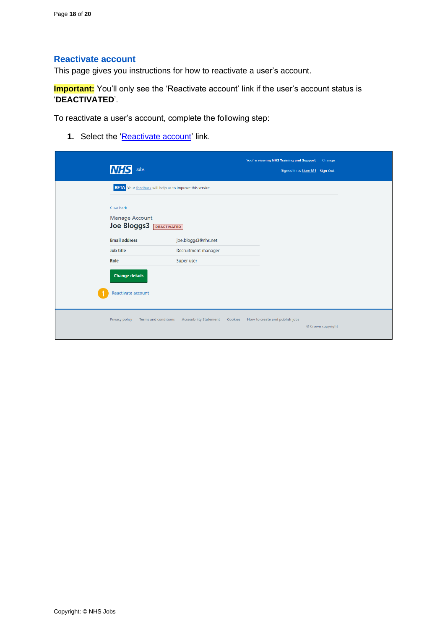### <span id="page-17-0"></span>**Reactivate account**

This page gives you instructions for how to reactivate a user's account.

**Important:** You'll only see the 'Reactivate account' link if the user's account status is '**DEACTIVATED**'.

To reactivate a user's account, complete the following step:

**1.** Select the ['Reactivate account'](#page-18-0) link.

| <b>NHS</b><br>Jobs                                              |                                           | You're viewing NHS Training and Support | Change<br>Signed in as Liam M1 Sign Out |  |
|-----------------------------------------------------------------|-------------------------------------------|-----------------------------------------|-----------------------------------------|--|
| <b>BETA</b> Your feedback will help us to improve this service. |                                           |                                         |                                         |  |
| < Go back<br><b>Manage Account</b><br>Joe Bloggs3   DEACTIVATED |                                           |                                         |                                         |  |
| <b>Email address</b>                                            | joe.bloggs3@nhs.net                       |                                         |                                         |  |
| Job title                                                       | Recruitment manager                       |                                         |                                         |  |
| Role                                                            | Super user                                |                                         |                                         |  |
| <b>Change details</b>                                           |                                           |                                         |                                         |  |
| Reactivate account                                              |                                           |                                         |                                         |  |
| <b>Privacy policy</b><br>Terms and conditions                   | <b>Accessibility Statement</b><br>Cookies | How to create and publish jobs          | © Crown copyright                       |  |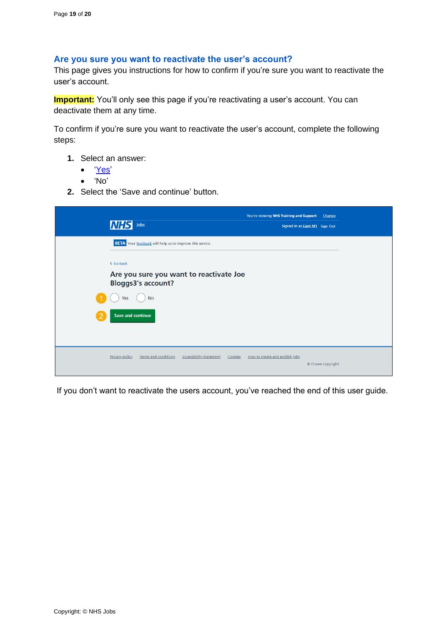#### <span id="page-18-0"></span>**Are you sure you want to reactivate the user's account?**

This page gives you instructions for how to confirm if you're sure you want to reactivate the user's account.

**Important:** You'll only see this page if you're reactivating a user's account. You can deactivate them at any time.

To confirm if you're sure you want to reactivate the user's account, complete the following steps:

- **1.** Select an answer:
	- ['Yes'](#page-19-0)
	- 'No'
- **2.** Select the 'Save and continue' button.

| <b>NHS</b> Jobs                                                                                   | You're viewing NHS Training and Support<br>Signed in as Liam M1 Sign Out | <b>Change</b>     |  |
|---------------------------------------------------------------------------------------------------|--------------------------------------------------------------------------|-------------------|--|
| <b>BETA</b> Your feedback will help us to improve this service.                                   |                                                                          |                   |  |
| < Go back                                                                                         |                                                                          |                   |  |
| Are you sure you want to reactivate Joe<br><b>Bloggs3's account?</b>                              |                                                                          |                   |  |
| <b>No</b><br>Yes                                                                                  |                                                                          |                   |  |
| <b>Save and continue</b>                                                                          |                                                                          |                   |  |
|                                                                                                   |                                                                          |                   |  |
| <b>Privacy policy</b><br><b>Terms and conditions</b><br><b>Accessibility Statement</b><br>Cookies | How to create and publish jobs                                           | © Crown copyright |  |

If you don't want to reactivate the users account, you've reached the end of this user guide.